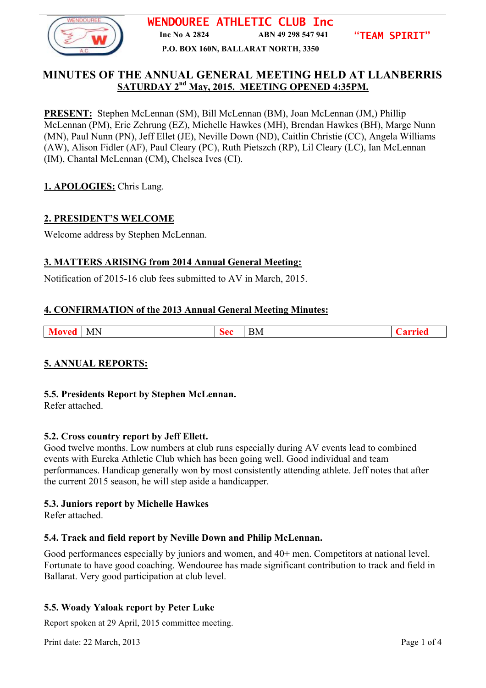

**WENDOUREE ATHLETIC CLUB Inc Inc No A 2824 ABN 49 298 547 941**

**"TEAM SPIRIT"**

**P.O. BOX 160N, BALLARAT NORTH, 3350**

# **MINUTES OF THE ANNUAL GENERAL MEETING HELD AT LLANBERRIS** SATURDAY 2<sup>nd</sup> May, 2015. MEETING OPENED 4:35PM.

**PRESENT:** Stephen McLennan (SM), Bill McLennan (BM), Joan McLennan (JM,) Phillip McLennan (PM), Eric Zehrung (EZ), Michelle Hawkes (MH), Brendan Hawkes (BH), Marge Nunn (MN), Paul Nunn (PN), Jeff Ellet (JE), Neville Down (ND), Caitlin Christie (CC), Angela Williams (AW), Alison Fidler (AF), Paul Cleary (PC), Ruth Pietszch (RP), Lil Cleary (LC), Ian McLennan (IM), Chantal McLennan (CM), Chelsea Ives (CI).

# **1. APOLOGIES:** Chris Lang.

# **2. PRESIDENT'S WELCOME**

Welcome address by Stephen McLennan.

## **3. MATTERS ARISING from 2014 Annual General Meeting:**

Notification of 2015-16 club fees submitted to AV in March, 2015.

### **4. CONFIRMATION of the 2013 Annual General Meeting Minutes:**

| -MN | $\sim$<br>BМ |  |
|-----|--------------|--|
|     |              |  |

# **5. ANNUAL REPORTS:**

### **5.5. Presidents Report by Stephen McLennan.**

Refer attached.

### **5.2. Cross country report by Jeff Ellett.**

Good twelve months. Low numbers at club runs especially during AV events lead to combined events with Eureka Athletic Club which has been going well. Good individual and team performances. Handicap generally won by most consistently attending athlete. Jeff notes that after the current 2015 season, he will step aside a handicapper.

# **5.3. Juniors report by Michelle Hawkes**

Refer attached.

### **5.4. Track and field report by Neville Down and Philip McLennan.**

Good performances especially by juniors and women, and 40+ men. Competitors at national level. Fortunate to have good coaching. Wendouree has made significant contribution to track and field in Ballarat. Very good participation at club level.

# **5.5. Woady Yaloak report by Peter Luke**

Report spoken at 29 April, 2015 committee meeting.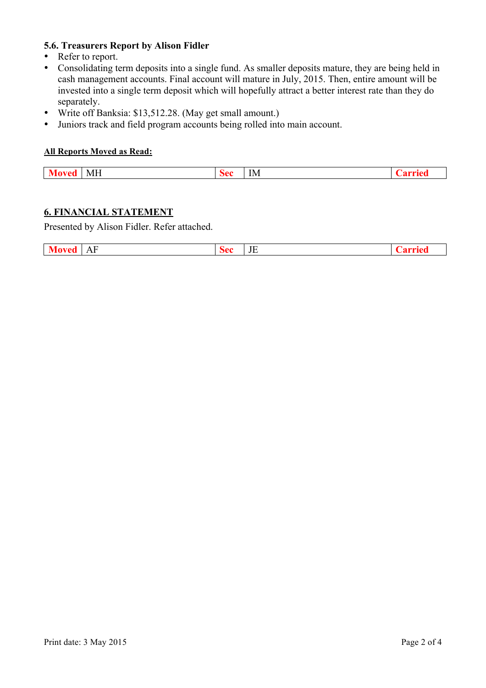# **5.6. Treasurers Report by Alison Fidler**

- Refer to report.<br>• Consolidating to
- Consolidating term deposits into a single fund. As smaller deposits mature, they are being held in cash management accounts. Final account will mature in July, 2015. Then, entire amount will be invested into a single term deposit which will hopefully attract a better interest rate than they do separately.
- Write off Banksia: \$13,512.28. (May get small amount.)
- Juniors track and field program accounts being rolled into main account.

#### **All Reports Moved as Read:**

## **6. FINANCIAL STATEMENT**

Presented by Alison Fidler. Refer attached.

| Mo<br>loved | AF | :ae<br>╌<br>$\sim$ | $\mathbf{v}$<br>் சட |  |
|-------------|----|--------------------|----------------------|--|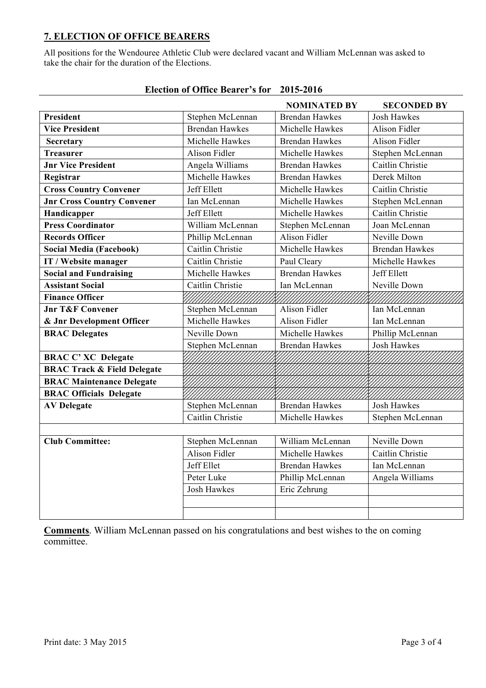# **7. ELECTION OF OFFICE BEARERS**

All positions for the Wendouree Athletic Club were declared vacant and William McLennan was asked to take the chair for the duration of the Elections.

|                                        |                       | <b>NOMINATED BY</b>   | <b>SECONDED BY</b>    |
|----------------------------------------|-----------------------|-----------------------|-----------------------|
| <b>President</b>                       | Stephen McLennan      | <b>Brendan Hawkes</b> | <b>Josh Hawkes</b>    |
| <b>Vice President</b>                  | <b>Brendan Hawkes</b> | Michelle Hawkes       | <b>Alison Fidler</b>  |
| Secretary                              | Michelle Hawkes       | <b>Brendan Hawkes</b> | <b>Alison Fidler</b>  |
| <b>Treasurer</b>                       | Alison Fidler         | Michelle Hawkes       | Stephen McLennan      |
| <b>Jnr Vice President</b>              | Angela Williams       | <b>Brendan Hawkes</b> | Caitlin Christie      |
| Registrar                              | Michelle Hawkes       | <b>Brendan Hawkes</b> | Derek Milton          |
| <b>Cross Country Convener</b>          | Jeff Ellett           | Michelle Hawkes       | Caitlin Christie      |
| <b>Jnr Cross Country Convener</b>      | Ian McLennan          | Michelle Hawkes       | Stephen McLennan      |
| Handicapper                            | Jeff Ellett           | Michelle Hawkes       | Caitlin Christie      |
| <b>Press Coordinator</b>               | William McLennan      | Stephen McLennan      | Joan McLennan         |
| <b>Records Officer</b>                 | Phillip McLennan      | Alison Fidler         | Neville Down          |
| <b>Social Media (Facebook)</b>         | Caitlin Christie      | Michelle Hawkes       | <b>Brendan Hawkes</b> |
| IT / Website manager                   | Caitlin Christie      | Paul Cleary           | Michelle Hawkes       |
| <b>Social and Fundraising</b>          | Michelle Hawkes       | <b>Brendan Hawkes</b> | <b>Jeff Ellett</b>    |
| <b>Assistant Social</b>                | Caitlin Christie      | Ian McLennan          | Neville Down          |
| <b>Finance Officer</b>                 | ////////////          | MMMM                  |                       |
| <b>Jnr T&amp;F Convener</b>            | Stephen McLennan      | Alison Fidler         | Ian McLennan          |
| & Jnr Development Officer              | Michelle Hawkes       | Alison Fidler         | Ian McLennan          |
| <b>BRAC Delegates</b>                  | Neville Down          | Michelle Hawkes       | Phillip McLennan      |
|                                        | Stephen McLennan      | <b>Brendan Hawkes</b> | <b>Josh Hawkes</b>    |
| <b>BRAC C' XC Delegate</b>             |                       |                       |                       |
| <b>BRAC Track &amp; Field Delegate</b> |                       |                       |                       |
| <b>BRAC Maintenance Delegate</b>       |                       |                       |                       |
| <b>BRAC Officials Delegate</b>         |                       |                       |                       |
| <b>AV Delegate</b>                     | Stephen McLennan      | <b>Brendan Hawkes</b> | <b>Josh Hawkes</b>    |
|                                        | Caitlin Christie      | Michelle Hawkes       | Stephen McLennan      |
|                                        |                       |                       |                       |
| <b>Club Committee:</b>                 | Stephen McLennan      | William McLennan      | Neville Down          |
|                                        | Alison Fidler         | Michelle Hawkes       | Caitlin Christie      |
|                                        | Jeff Ellet            | <b>Brendan Hawkes</b> | Ian McLennan          |
|                                        | Peter Luke            | Phillip McLennan      | Angela Williams       |
|                                        | <b>Josh Hawkes</b>    | Eric Zehrung          |                       |
|                                        |                       |                       |                       |
|                                        |                       |                       |                       |

# **Election of Office Bearer's for 2015-2016**

**Comments**. William McLennan passed on his congratulations and best wishes to the on coming committee.